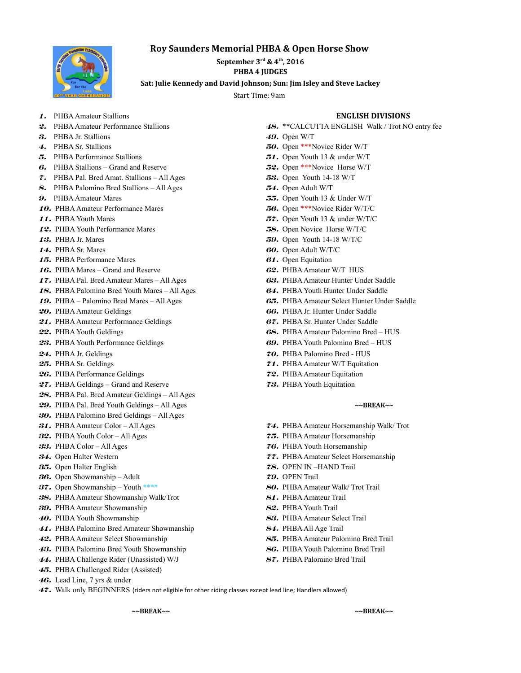# **Roy Saunders Memorial PHBA & Open Horse Show**



September  $3^{rd}$  &  $4^{th}$ , 2016 **PHBA 4 JUDGES** 

Sat: Julie Kennedy and David Johnson; Sun: Jim Isley and Steve Lackey

Start Time: 9am

## **1.** PHBA Amateur Stallions **ENGLISH DIVISIONS**

- 
- **3.**PHBA Jr. Stallions **49.**Open W/T
- **4.**PHBA Sr. Stallions **50.**Open \*\*\*Novice Rider W/T
- **5.**PHBA Performance Stallions **51.**Open Youth 13 & under W/T
- **6.**PHBA Stallions Grand and Reserve **52.**Open \*\*\*Novice Horse W/T
- **7.**PHBA Pal. Bred Amat. Stallions All Ages **53.**Open Youth 14-18 W/T
- **8.**PHBA Palomino Bred Stallions All Ages **54.**Open Adult W/T
- 
- **10.**PHBA Amateur Performance Mares **56.**Open \*\*\*Novice Rider W/T/C
- 
- **12.**PHBA Youth Performance Mares **58.**Open Novice Horse W/T/C
- 
- 
- **15.**PHBA Performance Mares **61.**Open Equitation
- **16.**PHBA Mares Grand and Reserve **62.**PHBA Amateur W/T HUS
- **17.**PHBA Pal. Bred Amateur Mares All Ages **63.**PHBA Amateur Hunter Under Saddle
- **18.**PHBA Palomino Bred Youth Mares All Ages **64.**PHBA Youth Hunter Under Saddle
- 
- 
- **21.**PHBA Amateur Performance Geldings **67.**PHBA Sr. Hunter Under Saddle
- 
- 
- 
- 
- 
- **27.**PHBA Geldings Grand and Reserve **73.**PHBA Youth Equitation
- **28.**PHBA Pal. Bred Amateur Geldings All Ages
- **29.**PHBA Pal. Bred Youth Geldings All Ages **~~BREAK~~**
- **30.**PHBA Palomino Bred Geldings All Ages
- 
- **32.**PHBA Youth Color All Ages **75.**PHBA Amateur Horsemanship
- **33.**PHBA Color All Ages **76.**PHBA Youth Horsemanship
- 
- 
- **36.**Open Showmanship Adult **79.**OPEN Trail
- **37.** Open Showmanship Youth \*\*\*\* **80.** PHBA Amateur Walk/ Trot Trail
- **38.**PHBA Amateur Showmanship Walk/Trot **81.**PHBA Amateur Trail
- **39.**PHBA Amateur Showmanship **82.**PHBA Youth Trail
- 
- **41.**PHBA Palomino Bred Amateur Showmanship **84.**PHBA All Age Trail
- 
- **43.**PHBA Palomino Bred Youth Showmanship **86.**PHBA Youth Palomino Bred Trail
- **44.**PHBA Challenge Rider (Unassisted) W/J **87.**PHBA Palomino Bred Trail
- **45.**PHBA Challenged Rider (Assisted)
- **46.**Lead Line, 7 yrs & under
- 
- 2. PHBA Amateur Performance Stallions **48.** \*\*CALCUTTA ENGLISH Walk / Trot NO entry fee
	-
	-
	-
	-
	-
- **9.**PHBA Amateur Mares **55.**Open Youth 13 & Under W/T
	-
- **11.**PHBA Youth Mares **57.**Open Youth 13 & under W/T/C
	-
- **13.**PHBA Jr. Mares **59.**Open Youth 14-18 W/T/C
- **14.**PHBA Sr. Mares **60.**Open Adult W/T/C
	-
	-
	-
	-
- **19.**PHBA Palomino Bred Mares All Ages **65.**PHBA Amateur Select Hunter Under Saddle
- **20.**PHBA Amateur Geldings **66.**PHBA Jr. Hunter Under Saddle
	-
- **22.**PHBA Youth Geldings **68.**PHBA Amateur Palomino Bred HUS
- **23.**PHBA Youth Performance Geldings **69.**PHBA Youth Palomino Bred HUS
- **24.**PHBA Jr. Geldings **70.**PHBA Palomino Bred HUS
- **25.**PHBA Sr. Geldings **71.**PHBA Amateur W/T Equitation
- **26.**PHBA Performance Geldings **72.**PHBA Amateur Equitation
	-

- **31.**PHBA Amateur Color All Ages **74.**PHBA Amateur Horsemanship Walk/ Trot
	-
	-
- **34.**Open Halter Western **77.**PHBA Amateur Select Horsemanship
- **35.**Open Halter English **78.**OPEN IN –HAND Trail
	-
	-
	-
	-
- **40.**PHBA Youth Showmanship **83.**PHBA Amateur Select Trail
	-
- **42.**PHBA Amateur Select Showmanship **85.**PHBA Amateur Palomino Bred Trail
	-
	-
- **47.** Walk only BEGINNERS (riders not eligible for other riding classes except lead line; Handlers allowed)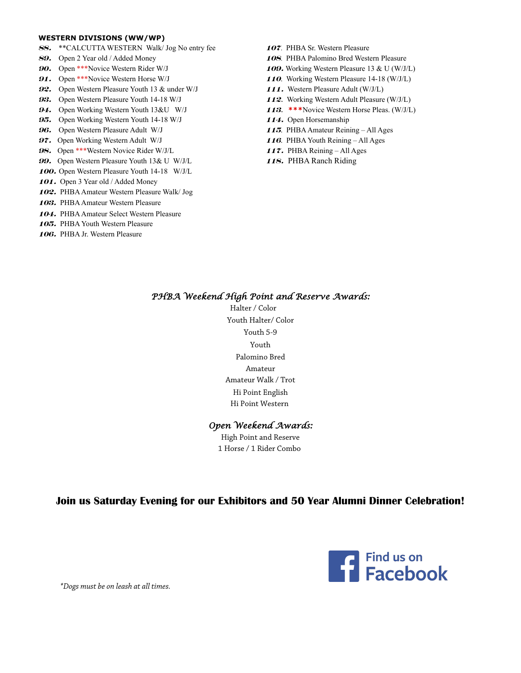### **WESTERN DIVISIONS (WW/WP)**

- **88.**\*\*CALCUTTA WESTERN Walk/ Jog No entry fee **<sup>107</sup>**. PHBA Sr. Western Pleasure
- 
- 
- 
- 
- 
- 
- 
- 
- 
- 
- **99.** Open Western Pleasure Youth 13& U W/J/L 118. PHBA Ranch Riding
- **100.**Open Western Pleasure Youth 14-18 W/J/L
- **101.**Open 3 Year old / Added Money
- **102.**PHBA Amateur Western Pleasure Walk/ Jog
- **103.**PHBA Amateur Western Pleasure
- **104.**PHBA Amateur Select Western Pleasure
- **105.**PHBA Youth Western Pleasure
- **106.**PHBA Jr. Western Pleasure
- 
- **89.**Open 2 Year old / Added Money **108**. PHBA Palomino Bred Western Pleasure
- **90.** Open \*\*\*Novice Western Rider W/J **109.** Working Western Pleasure 13 & U (W/J/L)
- **91.** Open \*\*\*Novice Western Horse W/J **110**. Working Western Pleasure 14-18 (W/J/L)
- **92.** Open Western Pleasure Youth 13 & under W/J **111.** Western Pleasure Adult (W/J/L)
- **93.**Open Western Pleasure Youth 14-18 W/J **<sup>112</sup>**. Working Western Adult Pleasure (W/J/L)
- **94.**Open Working Western Youth 13&U W/J **<sup>113</sup>**. **\*\*\***Novice Western Horse Pleas. (W/J/L)
- **95.**Open Working Western Youth 14-18 W/J **114.** Open Horsemanship
- **96.**Open Western Pleasure Adult W/J **115**. PHBA Amateur Reining All Ages
- **97.**Open Working Western Adult W/J **116**. PHBA Youth Reining All Ages
- **98.** Open \*\*\*Western Novice Rider W/J/L **117.** PHBA Reining All Ages
	-

# *PHBA Weekend High Point and Reserve Awards:*

Halter / Color Youth Halter/ Color Youth 5-9 Youth Palomino Bred Amateur Amateur Walk / Trot Hi Point English Hi Point Western

# *Open Weekend Awards:*

High Point and Reserve 1 Horse / 1 Rider Combo

# **Join us Saturday Evening for our Exhibitors and 50 Year Alumni Dinner Celebration!**



*\*Dogs must be on leash at all times.*